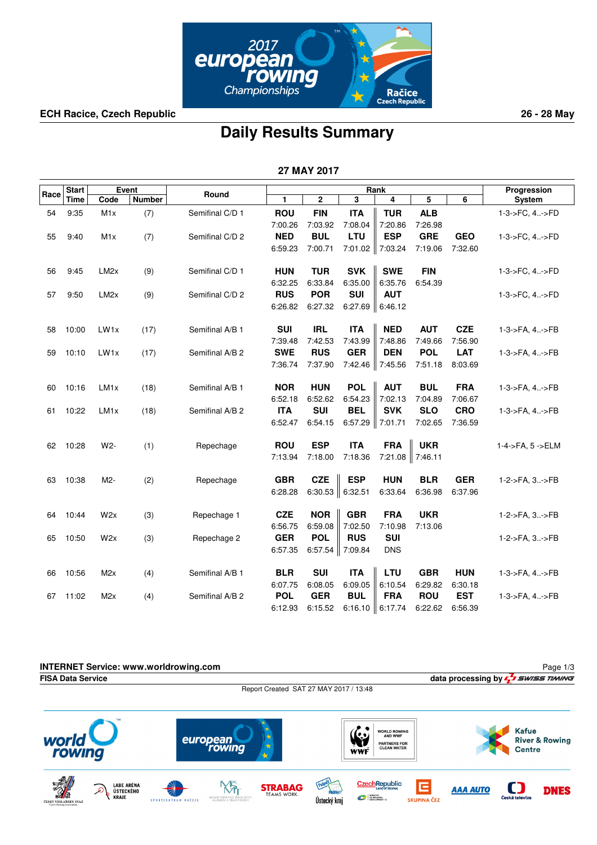

**ECH Racice, Czech Republic 26 - 28 May**

## **Daily Results Summary**

|      |              |                   |        |                 |                | 27 MAY 2017          |                             |                 |            |            |                  |
|------|--------------|-------------------|--------|-----------------|----------------|----------------------|-----------------------------|-----------------|------------|------------|------------------|
|      | <b>Start</b> |                   | Event  |                 |                |                      |                             | Rank            |            |            | Progression      |
| Race | <b>Time</b>  | Code              | Number | Round           | $\blacksquare$ | 2                    | $\overline{\mathbf{3}}$     | 4               | 5          | 6          | System           |
| 54   | 9:35         | M <sub>1</sub> x  | (7)    | Semifinal C/D 1 | <b>ROU</b>     | <b>FIN</b>           | <b>ITA</b>                  | <b>TUR</b>      | <b>ALB</b> |            | 1-3->FC, 4->FD   |
|      |              |                   |        |                 | 7:00.26        | 7:03.92              | 7:08.04                     | 7:20.86         | 7:26.98    |            |                  |
| 55   | 9:40         | M1x               | (7)    | Semifinal C/D 2 | <b>NED</b>     | <b>BUL</b>           | LTU                         | <b>ESP</b>      | <b>GRE</b> | <b>GEO</b> | 1-3->FC, 4->FD   |
|      |              |                   |        |                 | 6:59.23        | 7:00.71              |                             | 7:01.02 7:03.24 | 7:19.06    | 7:32.60    |                  |
| 56   | 9:45         | LM <sub>2x</sub>  | (9)    | Semifinal C/D 1 | <b>HUN</b>     | <b>TUR</b>           | <b>SVK</b>                  | <b>SWE</b>      | <b>FIN</b> |            | 1-3->FC, 4->FD   |
|      |              |                   |        |                 | 6:32.25        | 6:33.84              | 6:35.00                     | 6:35.76         | 6:54.39    |            |                  |
| 57   | 9:50         | LM <sub>2</sub> x | (9)    | Semifinal C/D 2 | <b>RUS</b>     | <b>POR</b>           | <b>SUI</b>                  | <b>AUT</b>      |            |            | 1-3->FC, 4->FD   |
|      |              |                   |        |                 | 6:26.82        | 6:27.32              | 6:27.69                     | 6:46.12         |            |            |                  |
| 58   | 10:00        | LW <sub>1x</sub>  | (17)   | Semifinal A/B 1 | <b>SUI</b>     | <b>IRL</b>           | <b>ITA</b>                  | <b>NED</b>      | <b>AUT</b> | <b>CZE</b> | 1-3->FA, 4->FB   |
|      |              |                   |        |                 | 7:39.48        | 7:42.53              | 7:43.99                     | 7:48.86         | 7:49.66    | 7.56.90    |                  |
| 59   | 10:10        | LW1x              | (17)   | Semifinal A/B 2 | <b>SWE</b>     | <b>RUS</b>           | <b>GER</b>                  | <b>DEN</b>      | <b>POL</b> | <b>LAT</b> | 1-3->FA, 4->FB   |
|      |              |                   |        |                 | 7:36.74        | 7:37.90              |                             | 7:42.46 7:45.56 | 7:51.18    | 8:03.69    |                  |
| 60   | 10:16        | LM <sub>1x</sub>  | (18)   | Semifinal A/B 1 | <b>NOR</b>     | <b>HUN</b>           | <b>POL</b>                  | <b>AUT</b>      | <b>BUL</b> | <b>FRA</b> | 1-3->FA, 4->FB   |
|      |              |                   |        |                 | 6:52.18        | 6:52.62              | 6:54.23                     | 7:02.13         | 7:04.89    | 7:06.67    |                  |
| 61   | 10:22        | LM <sub>1x</sub>  | (18)   | Semifinal A/B 2 | <b>ITA</b>     | <b>SUI</b>           | <b>BEL</b>                  | <b>SVK</b>      | <b>SLO</b> | <b>CRO</b> | 1-3->FA, 4->FB   |
|      |              |                   |        |                 | 6:52.47        | 6:54.15              | $6:57.29$ 7:01.71           |                 | 7:02.65    | 7:36.59    |                  |
| 62   | 10:28        | W2-               | (1)    | Repechage       | <b>ROU</b>     | <b>ESP</b>           | <b>ITA</b>                  | <b>FRA</b>      | <b>UKR</b> |            | 1-4->FA, 5 ->ELM |
|      |              |                   |        |                 | 7:13.94        | 7:18.00              | 7:18.36                     | 7:21.08 7:46.11 |            |            |                  |
| 63   | 10:38        | M2-               | (2)    | Repechage       | <b>GBR</b>     | <b>CZE</b>           | <b>ESP</b>                  | <b>HUN</b>      | <b>BLR</b> | <b>GER</b> | 1-2->FA, 3->FB   |
|      |              |                   |        |                 | 6:28.28        | 6:30.53 $\ $ 6:32.51 |                             | 6:33.64         | 6:36.98    | 6:37.96    |                  |
| 64   | 10:44        | W2x               | (3)    | Repechage 1     | <b>CZE</b>     | <b>NOR</b>           | <b>GBR</b>                  | <b>FRA</b>      | <b>UKR</b> |            | 1-2->FA, 3->FB   |
|      |              |                   |        |                 | 6:56.75        | 6:59.08              | 7:02.50                     | 7:10.98         | 7:13.06    |            |                  |
| 65   | 10:50        | W2x               | (3)    | Repechage 2     | <b>GER</b>     | <b>POL</b>           | <b>RUS</b>                  | <b>SUI</b>      |            |            | 1-2->FA, 3->FB   |
|      |              |                   |        |                 | 6:57.35        |                      | 6:57.54 $\parallel$ 7:09.84 | <b>DNS</b>      |            |            |                  |
| 66   | 10:56        | M <sub>2</sub> x  | (4)    | Semifinal A/B 1 | <b>BLR</b>     | <b>SUI</b>           | <b>ITA</b>                  | <b>LTU</b>      | <b>GBR</b> | <b>HUN</b> | 1-3->FA, 4->FB   |
|      |              |                   |        |                 | 6:07.75        | 6:08.05              | 6:09.05                     | 6:10.54         | 6:29.82    | 6:30.18    |                  |
| 67   | 11:02        | M2x               | (4)    | Semifinal A/B 2 | <b>POL</b>     | <b>GER</b>           | <b>BUL</b>                  | <b>FRA</b>      | <b>ROU</b> | <b>EST</b> | 1-3->FA, 4->FB   |
|      |              |                   |        |                 | 6:12.93        | 6:15.52              | 6:16.10                     | 6:17.74         | 6:22.62    | 6:56.39    |                  |

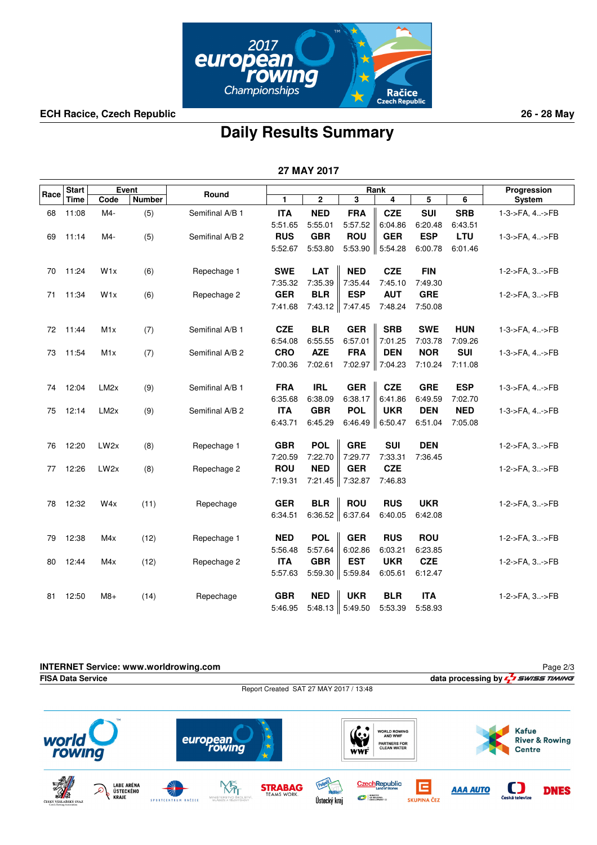![](_page_1_Picture_0.jpeg)

**ECH Racice, Czech Republic 26 - 28 May**

## **Daily Results Summary**

|      |              |                   |        |                 |            | 27 MAY 2017 |            |            |            |            |                |
|------|--------------|-------------------|--------|-----------------|------------|-------------|------------|------------|------------|------------|----------------|
|      | <b>Start</b> |                   | Event  |                 |            |             |            | Rank       |            |            | Progression    |
| Race | <b>Time</b>  | Code              | Number | Round           | 1          | $\mathbf 2$ | 3          | 4          | 5          | 6          | System         |
| 68   | 11:08        | M4-               | (5)    | Semifinal A/B 1 | <b>ITA</b> | <b>NED</b>  | <b>FRA</b> | <b>CZE</b> | <b>SUI</b> | <b>SRB</b> | 1-3->FA, 4->FB |
|      |              |                   |        |                 | 5:51.65    | 5:55.01     | 5:57.52    | 6:04.86    | 6:20.48    | 6:43.51    |                |
| 69   | 11:14        | M4-               | (5)    | Semifinal A/B 2 | <b>RUS</b> | <b>GBR</b>  | <b>ROU</b> | <b>GER</b> | <b>ESP</b> | <b>LTU</b> | 1-3->FA, 4->FB |
|      |              |                   |        |                 | 5:52.67    | 5:53.80     | 5:53.90    | 5:54.28    | 6:00.78    | 6:01.46    |                |
| 70   | 11:24        | W1x               | (6)    | Repechage 1     | <b>SWE</b> | <b>LAT</b>  | <b>NED</b> | <b>CZE</b> | <b>FIN</b> |            | 1-2->FA, 3->FB |
|      |              |                   |        |                 | 7:35.32    | 7:35.39     | 7:35.44    | 7:45.10    | 7:49.30    |            |                |
| 71   | 11:34        | W <sub>1x</sub>   | (6)    | Repechage 2     | <b>GER</b> | <b>BLR</b>  | <b>ESP</b> | <b>AUT</b> | <b>GRE</b> |            | 1-2->FA, 3->FB |
|      |              |                   |        |                 | 7:41.68    | 7:43.12     | 7:47.45    | 7:48.24    | 7:50.08    |            |                |
| 72   | 11:44        | M <sub>1</sub> x  | (7)    | Semifinal A/B 1 | <b>CZE</b> | <b>BLR</b>  | <b>GER</b> | <b>SRB</b> | <b>SWE</b> | <b>HUN</b> | 1-3->FA, 4->FB |
|      |              |                   |        |                 | 6:54.08    | 6:55.55     | 6:57.01    | 7:01.25    | 7:03.78    | 7:09.26    |                |
| 73   | 11:54        | M1x               | (7)    | Semifinal A/B 2 | <b>CRO</b> | <b>AZE</b>  | <b>FRA</b> | <b>DEN</b> | <b>NOR</b> | <b>SUI</b> | 1-3->FA, 4->FB |
|      |              |                   |        |                 | 7:00.36    | 7:02.61     | 7:02.97    | 7:04.23    | 7:10.24    | 7:11.08    |                |
| 74   | 12:04        | LM <sub>2x</sub>  | (9)    | Semifinal A/B 1 | <b>FRA</b> | <b>IRL</b>  | <b>GER</b> | <b>CZE</b> | <b>GRE</b> | <b>ESP</b> | 1-3->FA, 4->FB |
|      |              |                   |        |                 | 6:35.68    | 6:38.09     | 6:38.17    | 6:41.86    | 6:49.59    | 7:02.70    |                |
| 75   | 12:14        | LM <sub>2</sub> x | (9)    | Semifinal A/B 2 | <b>ITA</b> | <b>GBR</b>  | <b>POL</b> | <b>UKR</b> | <b>DEN</b> | <b>NED</b> | 1-3->FA, 4->FB |
|      |              |                   |        |                 | 6:43.71    | 6:45.29     | 6:46.49    | 6:50.47    | 6:51.04    | 7:05.08    |                |
| 76   | 12:20        | LW <sub>2x</sub>  | (8)    | Repechage 1     | <b>GBR</b> | <b>POL</b>  | <b>GRE</b> | <b>SUI</b> | <b>DEN</b> |            | 1-2->FA, 3->FB |
|      |              |                   |        |                 | 7:20.59    | 7:22.70     | 7:29.77    | 7:33.31    | 7:36.45    |            |                |
| 77   | 12:26        | LW <sub>2x</sub>  | (8)    | Repechage 2     | <b>ROU</b> | <b>NED</b>  | <b>GER</b> | <b>CZE</b> |            |            | 1-2->FA, 3->FB |
|      |              |                   |        |                 | 7:19.31    | 7:21.45     | 7:32.87    | 7:46.83    |            |            |                |
| 78   | 12:32        | W4x               | (11)   | Repechage       | <b>GER</b> | <b>BLR</b>  | <b>ROU</b> | <b>RUS</b> | <b>UKR</b> |            | 1-2->FA, 3->FB |
|      |              |                   |        |                 | 6:34.51    | 6:36.52     | 6:37.64    | 6:40.05    | 6:42.08    |            |                |
| 79   | 12:38        | M4x               | (12)   | Repechage 1     | <b>NED</b> | <b>POL</b>  | <b>GER</b> | <b>RUS</b> | <b>ROU</b> |            | 1-2->FA, 3->FB |
|      |              |                   |        |                 | 5:56.48    | 5:57.64     | 6:02.86    | 6:03.21    | 6:23.85    |            |                |
| 80   | 12:44        | M4x               | (12)   | Repechage 2     | <b>ITA</b> | <b>GBR</b>  | <b>EST</b> | <b>UKR</b> | <b>CZE</b> |            | 1-2->FA, 3->FB |
|      |              |                   |        |                 | 5:57.63    | $5:59.30$   | 5:59.84    | 6:05.61    | 6:12.47    |            |                |
| 81   | 12:50        | $M8+$             | (14)   | Repechage       | <b>GBR</b> | <b>NED</b>  | <b>UKR</b> | <b>BLR</b> | <b>ITA</b> |            | 1-2->FA, 3->FB |
|      |              |                   |        |                 | 5:46.95    | 5:48.13     | 5:49.50    | 5:53.39    | 5:58.93    |            |                |

![](_page_1_Picture_5.jpeg)